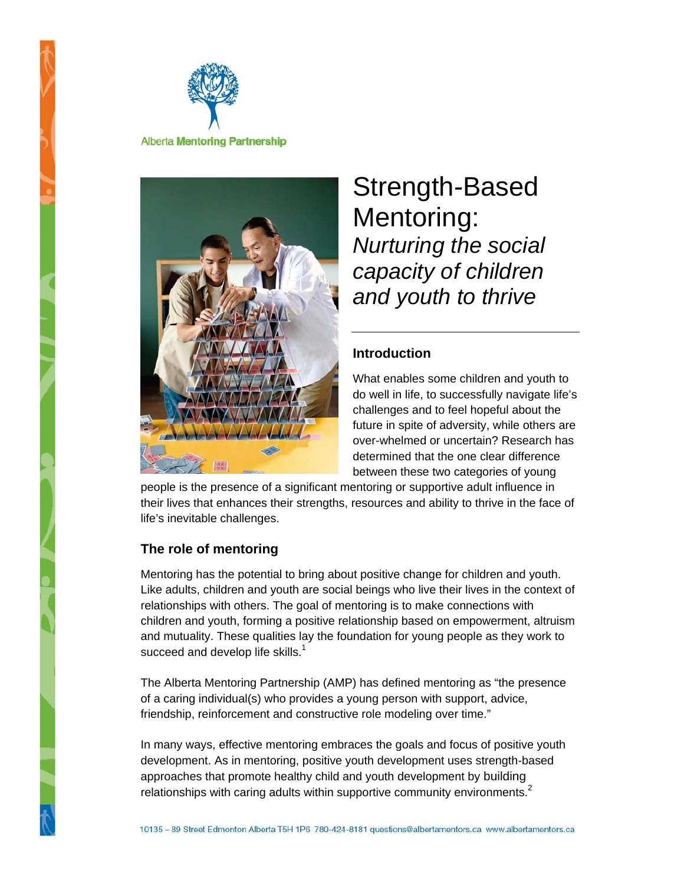



# Strength-Based Mentoring: *Nurturing the social capacity of children and youth to thrive*

### **Introduction**

What enables some children and youth to do well in life, to successfully navigate life's challenges and to feel hopeful about the future in spite of adversity, while others are over-whelmed or uncertain? Research has determined that the one clear difference between these two categories of young

people is the presence of a significant mentoring or supportive adult influence in their lives that enhances their strengths, resources and ability to thrive in the face of life's inevitable challenges.

### **The role of mentoring**

Mentoring has the potential to bring about positive change for children and youth. Like adults, children and youth are social beings who live their lives in the context of relationships with others. The goal of mentoring is to make connections with children and youth, forming a positive relationship based on empowerment, altruism and mutuality. These qualities lay the foundation for young people as they work to succeed and develop life skills.<sup>1</sup>

The Alberta Mentoring Partnership (AMP) has defined mentoring as "the presence of a caring individual(s) who provides a young person with support, advice, friendship, reinforcement and constructive role modeling over time."

In many ways, effective mentoring embraces the goals and focus of positive youth development. As in mentoring, positive youth development uses strength-based approaches that promote healthy child and youth development by building relationships with caring adults within supportive community environments. $2$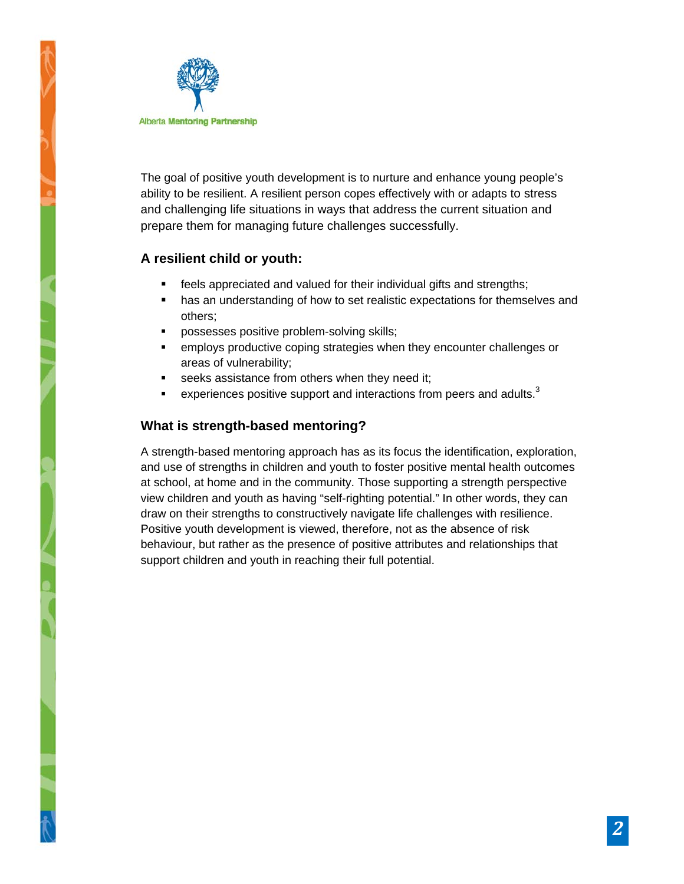

The goal of positive youth development is to nurture and enhance young people's ability to be resilient. A resilient person copes effectively with or adapts to stress and challenging life situations in ways that address the current situation and prepare them for managing future challenges successfully.

# **A resilient child or youth:**

- **Figure 1** feels appreciated and valued for their individual gifts and strengths;
- **has an understanding of how to set realistic expectations for themselves and** others;
- **PEDECISES** positive problem-solving skills;
- employs productive coping strategies when they encounter challenges or areas of vulnerability;
- seeks assistance from others when they need it;
- **EXPERIERCES** positive support and interactions from peers and adults.<sup>3</sup>

# **What is strength-based mentoring?**

A strength-based mentoring approach has as its focus the identification, exploration, and use of strengths in children and youth to foster positive mental health outcomes at school, at home and in the community. Those supporting a strength perspective view children and youth as having "self-righting potential." In other words, they can draw on their strengths to constructively navigate life challenges with resilience. Positive youth development is viewed, therefore, not as the absence of risk behaviour, but rather as the presence of positive attributes and relationships that support children and youth in reaching their full potential.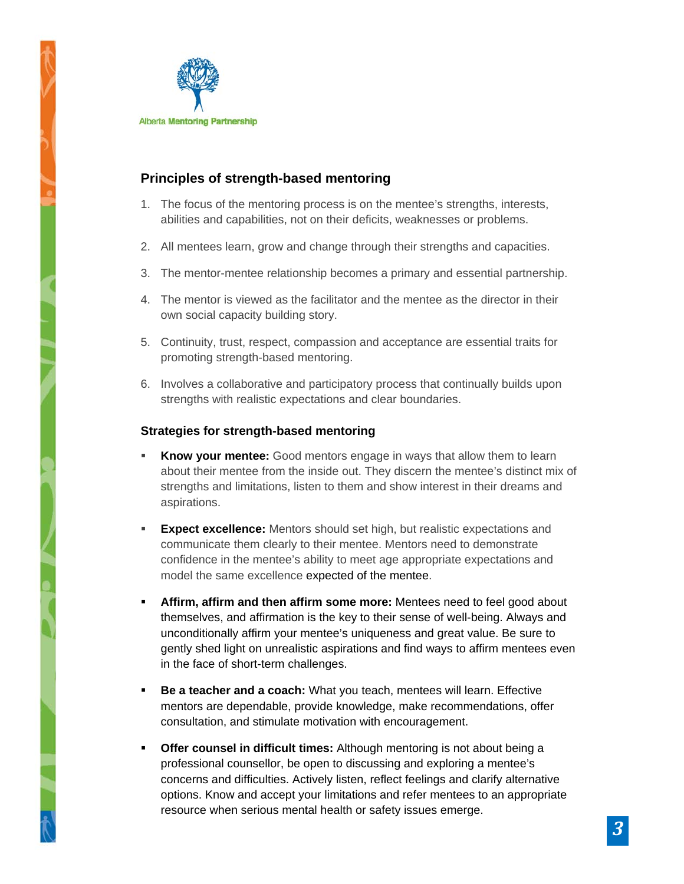

# **Principles of strength-based mentoring**

- 1. The focus of the mentoring process is on the mentee's strengths, interests, abilities and capabilities, not on their deficits, weaknesses or problems.
- 2. All mentees learn, grow and change through their strengths and capacities.
- 3. The mentor-mentee relationship becomes a primary and essential partnership.
- 4. The mentor is viewed as the facilitator and the mentee as the director in their own social capacity building story.
- 5. Continuity, trust, respect, compassion and acceptance are essential traits for promoting strength-based mentoring.
- 6. Involves a collaborative and participatory process that continually builds upon strengths with realistic expectations and clear boundaries.

#### **Strategies for strength-based mentoring**

- **Know your mentee:** Good mentors engage in ways that allow them to learn about their mentee from the inside out. They discern the mentee's distinct mix of strengths and limitations, listen to them and show interest in their dreams and aspirations.
- **Expect excellence:** Mentors should set high, but realistic expectations and communicate them clearly to their mentee. Mentors need to demonstrate confidence in the mentee's ability to meet age appropriate expectations and model the same excellence expected of the mentee.
- **Affirm, affirm and then affirm some more:** Mentees need to feel good about themselves, and affirmation is the key to their sense of well-being. Always and unconditionally affirm your mentee's uniqueness and great value. Be sure to gently shed light on unrealistic aspirations and find ways to affirm mentees even in the face of short-term challenges.
- **Be a teacher and a coach:** What you teach, mentees will learn. Effective mentors are dependable, provide knowledge, make recommendations, offer consultation, and stimulate motivation with encouragement.
- **Offer counsel in difficult times:** Although mentoring is not about being a professional counsellor, be open to discussing and exploring a mentee's concerns and difficulties. Actively listen, reflect feelings and clarify alternative options. Know and accept your limitations and refer mentees to an appropriate resource when serious mental health or safety issues emerge.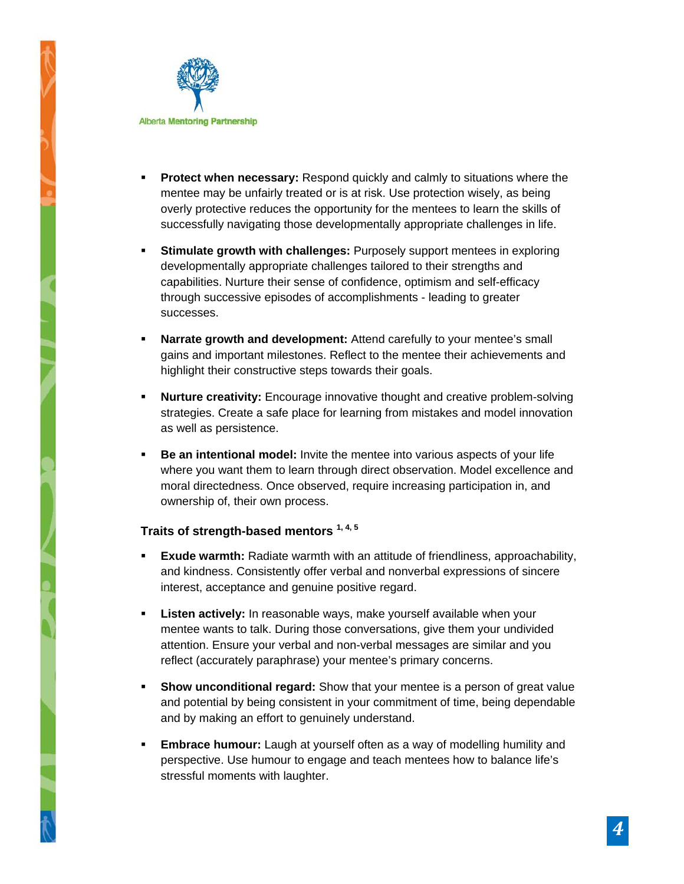

- **Protect when necessary:** Respond quickly and calmly to situations where the mentee may be unfairly treated or is at risk. Use protection wisely, as being overly protective reduces the opportunity for the mentees to learn the skills of successfully navigating those developmentally appropriate challenges in life.
- **Stimulate growth with challenges:** Purposely support mentees in exploring developmentally appropriate challenges tailored to their strengths and capabilities. Nurture their sense of confidence, optimism and self-efficacy through successive episodes of accomplishments - leading to greater successes.
- **Narrate growth and development:** Attend carefully to your mentee's small gains and important milestones. Reflect to the mentee their achievements and highlight their constructive steps towards their goals.
- **Nurture creativity:** Encourage innovative thought and creative problem-solving strategies. Create a safe place for learning from mistakes and model innovation as well as persistence.
- **Be an intentional model:** Invite the mentee into various aspects of your life where you want them to learn through direct observation. Model excellence and moral directedness. Once observed, require increasing participation in, and ownership of, their own process.

# **Traits of strength-based mentors 1, 4, 5**

- **Exude warmth:** Radiate warmth with an attitude of friendliness, approachability, and kindness. Consistently offer verbal and nonverbal expressions of sincere interest, acceptance and genuine positive regard.
- **Listen actively:** In reasonable ways, make yourself available when your mentee wants to talk. During those conversations, give them your undivided attention. Ensure your verbal and non-verbal messages are similar and you reflect (accurately paraphrase) your mentee's primary concerns.
- **Show unconditional regard:** Show that your mentee is a person of great value and potential by being consistent in your commitment of time, being dependable and by making an effort to genuinely understand.
- **Embrace humour:** Laugh at yourself often as a way of modelling humility and perspective. Use humour to engage and teach mentees how to balance life's stressful moments with laughter.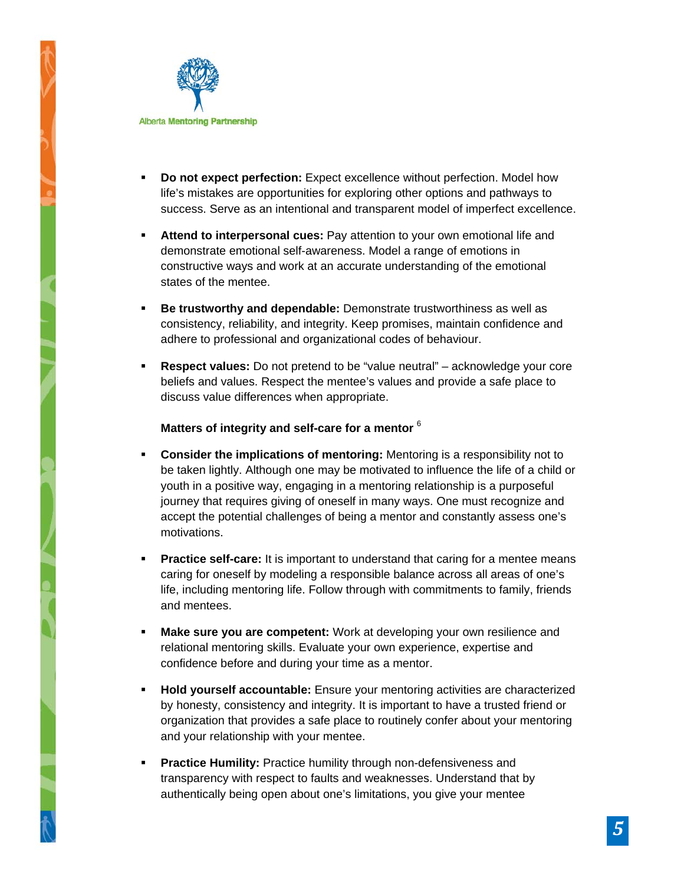

- **Do not expect perfection:** Expect excellence without perfection. Model how life's mistakes are opportunities for exploring other options and pathways to success. Serve as an intentional and transparent model of imperfect excellence.
- **Attend to interpersonal cues:** Pay attention to your own emotional life and demonstrate emotional self-awareness. Model a range of emotions in constructive ways and work at an accurate understanding of the emotional states of the mentee.
- **Be trustworthy and dependable:** Demonstrate trustworthiness as well as consistency, reliability, and integrity. Keep promises, maintain confidence and adhere to professional and organizational codes of behaviour.
- **Respect values:** Do not pretend to be "value neutral" acknowledge your core beliefs and values. Respect the mentee's values and provide a safe place to discuss value differences when appropriate.

#### **Matters of integrity and self-care for a mentor** <sup>6</sup>

- **Consider the implications of mentoring:** Mentoring is a responsibility not to be taken lightly. Although one may be motivated to influence the life of a child or youth in a positive way, engaging in a mentoring relationship is a purposeful journey that requires giving of oneself in many ways. One must recognize and accept the potential challenges of being a mentor and constantly assess one's motivations.
- **Practice self-care:** It is important to understand that caring for a mentee means caring for oneself by modeling a responsible balance across all areas of one's life, including mentoring life. Follow through with commitments to family, friends and mentees.
- **Make sure you are competent:** Work at developing your own resilience and relational mentoring skills. Evaluate your own experience, expertise and confidence before and during your time as a mentor.
- **Hold yourself accountable:** Ensure your mentoring activities are characterized by honesty, consistency and integrity. It is important to have a trusted friend or organization that provides a safe place to routinely confer about your mentoring and your relationship with your mentee.
- **Practice Humility:** Practice humility through non-defensiveness and transparency with respect to faults and weaknesses. Understand that by authentically being open about one's limitations, you give your mentee